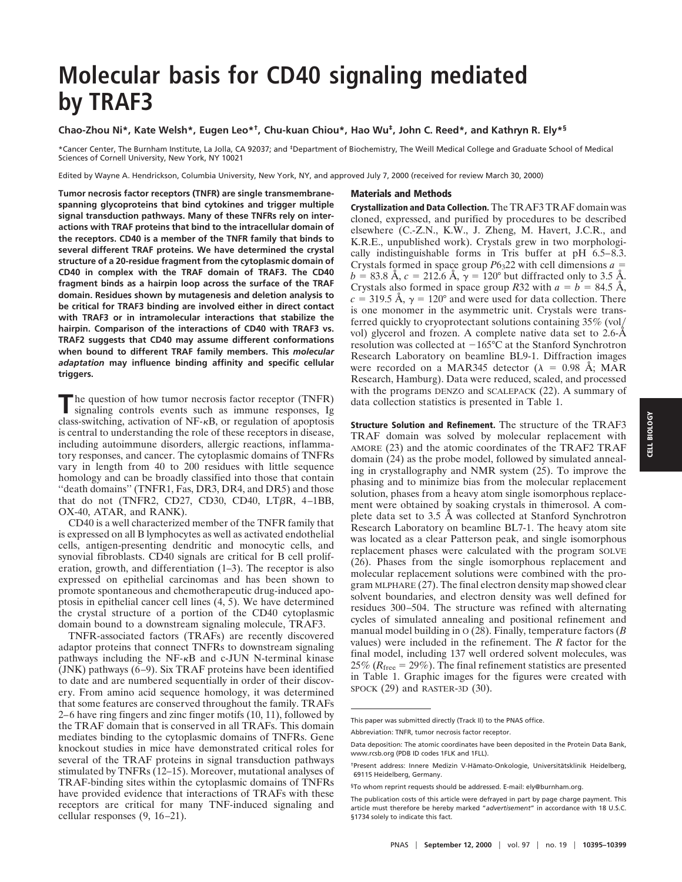# **Molecular basis for CD40 signaling mediated by TRAF3**

## **Chao-Zhou Ni\*, Kate Welsh\*, Eugen Leo\*†, Chu-kuan Chiou\*, Hao Wu‡, John C. Reed\*, and Kathryn R. Ely\*§**

\*Cancer Center, The Burnham Institute, La Jolla, CA 92037; and ‡Department of Biochemistry, The Weill Medical College and Graduate School of Medical Sciences of Cornell University, New York, NY 10021

Edited by Wayne A. Hendrickson, Columbia University, New York, NY, and approved July 7, 2000 (received for review March 30, 2000)

**Tumor necrosis factor receptors (TNFR) are single transmembranespanning glycoproteins that bind cytokines and trigger multiple signal transduction pathways. Many of these TNFRs rely on interactions with TRAF proteins that bind to the intracellular domain of the receptors. CD40 is a member of the TNFR family that binds to several different TRAF proteins. We have determined the crystal structure of a 20-residue fragment from the cytoplasmic domain of CD40 in complex with the TRAF domain of TRAF3. The CD40 fragment binds as a hairpin loop across the surface of the TRAF domain. Residues shown by mutagenesis and deletion analysis to be critical for TRAF3 binding are involved either in direct contact with TRAF3 or in intramolecular interactions that stabilize the hairpin. Comparison of the interactions of CD40 with TRAF3 vs. TRAF2 suggests that CD40 may assume different conformations when bound to different TRAF family members. This** *molecular adaptation* **may influence binding affinity and specific cellular triggers.**

The question of how tumor necrosis factor receptor (TNFR) signaling controls events such as immune responses, Ig class-switching, activation of NF-kB, or regulation of apoptosis is central to understanding the role of these receptors in disease, including autoimmune disorders, allergic reactions, inflammatory responses, and cancer. The cytoplasmic domains of TNFRs vary in length from 40 to 200 residues with little sequence homology and can be broadly classified into those that contain ''death domains'' (TNFR1, Fas, DR3, DR4, and DR5) and those that do not (TNFR2, CD27, CD30, CD40, LT $\beta$ R, 4–1BB, OX-40, ATAR, and RANK).

CD40 is a well characterized member of the TNFR family that is expressed on all B lymphocytes as well as activated endothelial cells, antigen-presenting dendritic and monocytic cells, and synovial fibroblasts. CD40 signals are critical for B cell proliferation, growth, and differentiation (1–3). The receptor is also expressed on epithelial carcinomas and has been shown to promote spontaneous and chemotherapeutic drug-induced apoptosis in epithelial cancer cell lines (4, 5). We have determined the crystal structure of a portion of the CD40 cytoplasmic domain bound to a downstream signaling molecule, TRAF3.

TNFR-associated factors (TRAFs) are recently discovered adaptor proteins that connect TNFRs to downstream signaling pathways including the  $NF- $\kappa$ B$  and c-JUN N-terminal kinase (JNK) pathways (6–9). Six TRAF proteins have been identified to date and are numbered sequentially in order of their discovery. From amino acid sequence homology, it was determined that some features are conserved throughout the family. TRAFs 2–6 have ring fingers and zinc finger motifs (10, 11), followed by the TRAF domain that is conserved in all TRAFs. This domain mediates binding to the cytoplasmic domains of TNFRs. Gene knockout studies in mice have demonstrated critical roles for several of the TRAF proteins in signal transduction pathways stimulated by TNFRs (12–15). Moreover, mutational analyses of TRAF-binding sites within the cytoplasmic domains of TNFRs have provided evidence that interactions of TRAFs with these receptors are critical for many TNF-induced signaling and cellular responses (9, 16–21).

#### **Materials and Methods**

**Crystallization and Data Collection.** The TRAF3 TRAF domain was cloned, expressed, and purified by procedures to be described elsewhere (C.-Z.N., K.W., J. Zheng, M. Havert, J.C.R., and K.R.E., unpublished work). Crystals grew in two morphologically indistinguishable forms in Tris buffer at pH 6.5–8.3. Crystals formed in space group  $P6<sub>3</sub>22$  with cell dimensions  $a =$  $b = 83.8 \text{ Å}, c = 212.6 \text{ Å}, \gamma = 120^{\circ}$  but diffracted only to 3.5 Å. Crystals also formed in space group *R*32 with  $a = b = 84.5 \text{ Å}$ ,  $c = 319.5$  Å,  $\gamma = 120^{\circ}$  and were used for data collection. There is one monomer in the asymmetric unit. Crystals were transferred quickly to cryoprotectant solutions containing 35% (vol/ vol) glycerol and frozen. A complete native data set to 2.6-Å resolution was collected at  $-165^{\circ}$ C at the Stanford Synchrotron Research Laboratory on beamline BL9-1. Diffraction images were recorded on a MAR345 detector ( $\lambda = 0.98$  Å; MAR Research, Hamburg). Data were reduced, scaled, and processed with the programs DENZO and SCALEPACK (22). A summary of data collection statistics is presented in Table 1.

**Structure Solution and Refinement.** The structure of the TRAF3 TRAF domain was solved by molecular replacement with AMORE (23) and the atomic coordinates of the TRAF2 TRAF domain (24) as the probe model, followed by simulated annealing in crystallography and NMR system (25). To improve the phasing and to minimize bias from the molecular replacement solution, phases from a heavy atom single isomorphous replacement were obtained by soaking crystals in thimerosol. A complete data set to 3.5 Å was collected at Stanford Synchrotron Research Laboratory on beamline BL7-1. The heavy atom site was located as a clear Patterson peak, and single isomorphous replacement phases were calculated with the program SOLVE (26). Phases from the single isomorphous replacement and molecular replacement solutions were combined with the program MLPHARE (27). The final electron density map showed clear solvent boundaries, and electron density was well defined for residues 300–504. The structure was refined with alternating cycles of simulated annealing and positional refinement and manual model building in O (28). Finally, temperature factors (*B* values) were included in the refinement. The *R* factor for the final model, including 137 well ordered solvent molecules, was 25% ( $R_{\text{free}} = 29\%$ ). The final refinement statistics are presented in Table 1. Graphic images for the figures were created with SPOCK (29) and RASTER-3D (30).

This paper was submitted directly (Track II) to the PNAS office.

Abbreviation: TNFR, tumor necrosis factor receptor.

Data deposition: The atomic coordinates have been deposited in the Protein Data Bank, www.rcsb.org (PDB ID codes 1FLK and 1FLL).

<sup>&</sup>lt;sup>†</sup>Present address: Innere Medizin V-Hämato-Onkologie, Universitätsklinik Heidelberg, 69115 Heidelberg, Germany.

<sup>§</sup>To whom reprint requests should be addressed. E-mail: ely@burnham.org.

The publication costs of this article were defrayed in part by page charge payment. This article must therefore be hereby marked "*advertisement*" in accordance with 18 U.S.C. §1734 solely to indicate this fact.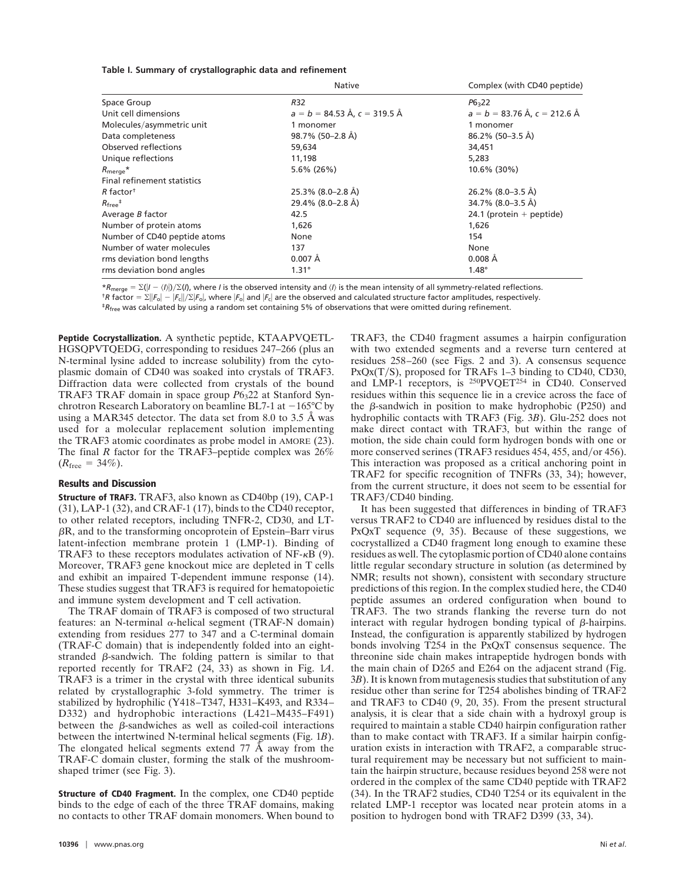#### **Table I. Summary of crystallographic data and refinement**

|                                                    | <b>Native</b>                           | Complex (with CD40 peptide)    |
|----------------------------------------------------|-----------------------------------------|--------------------------------|
| Space Group                                        | <b>R32</b>                              | $P6 = 22$                      |
| Unit cell dimensions                               | $a = b = 84.53 \text{ Å}$ , c = 319.5 Å | $a = b = 83.76$ Å, c = 212.6 Å |
| Molecules/asymmetric unit                          | 1 monomer                               | 1 monomer                      |
| Data completeness                                  | 98.7% (50-2.8 Å)                        | 86.2% (50-3.5 Å)               |
| Observed reflections                               | 59,634                                  | 34,451                         |
| Unique reflections                                 | 11,198                                  | 5,283                          |
| $R_{\text{merge}}$ *                               | $5.6\%$ (26%)                           | 10.6% (30%)                    |
| Final refinement statistics                        |                                         |                                |
| $R$ factor <sup>+</sup>                            | 25.3% (8.0–2.8 Å)                       | 26.2% (8.0–3.5 Å)              |
| $R_{\text{free}}$ <sup><math>\ddagger</math></sup> | 29.4% (8.0–2.8 Å)                       | 34.7% (8.0–3.5 Å)              |
| Average <i>B</i> factor                            | 42.5                                    | 24.1 (protein $+$ peptide)     |
| Number of protein atoms                            | 1,626                                   | 1,626                          |
| Number of CD40 peptide atoms                       | None                                    | 154                            |
| Number of water molecules                          | 137                                     | None                           |
| rms deviation bond lengths                         | $0.007 \text{ Å}$                       | $0.008$ Å                      |
| rms deviation bond angles                          | $1.31^\circ$                            | $1.48^\circ$                   |

\* $R_{\text{merge}} = \sum (I - \langle I \rangle |J \rangle \sum (I)$ , where *I* is the observed intensity and  $\langle I \rangle$  is the mean intensity of all symmetry-related reflections. <sup>†</sup>*R* factor =  $\Sigma$ || $F_o$ | – | $F_c$ || $\Sigma$ | $F_o$ |, where | $F_o$ | and | $F_c$ | are the observed and calculated structure factor amplitudes, respectively. ‡*R*free was calculated by using a random set containing 5% of observations that were omitted during refinement.

**Peptide Cocrystallization.** A synthetic peptide, KTAAPVQETL-HGSQPVTQEDG, corresponding to residues 247–266 (plus an N-terminal lysine added to increase solubility) from the cytoplasmic domain of CD40 was soaked into crystals of TRAF3. Diffraction data were collected from crystals of the bound TRAF3 TRAF domain in space group  $P6<sub>3</sub>22$  at Stanford Synchrotron Research Laboratory on beamline BL7-1 at  $-165^{\circ}$ C by using a MAR345 detector. The data set from 8.0 to 3.5 Å was used for a molecular replacement solution implementing the TRAF3 atomic coordinates as probe model in AMORE (23). The final *R* factor for the TRAF3–peptide complex was 26%  $(R_{\text{free}} = 34\%).$ 

### **Results and Discussion**

**Structure of TRAF3.** TRAF3, also known as CD40bp (19), CAP-1 (31), LAP-1 (32), and CRAF-1 (17), binds to the CD40 receptor, to other related receptors, including TNFR-2, CD30, and LT- $\beta$ R, and to the transforming oncoprotein of Epstein–Barr virus latent-infection membrane protein 1 (LMP-1). Binding of TRAF3 to these receptors modulates activation of  $NF-\kappa B$  (9). Moreover, TRAF3 gene knockout mice are depleted in T cells and exhibit an impaired T-dependent immune response (14). These studies suggest that TRAF3 is required for hematopoietic and immune system development and T cell activation.

The TRAF domain of TRAF3 is composed of two structural features: an N-terminal  $\alpha$ -helical segment (TRAF-N domain) extending from residues 277 to 347 and a C-terminal domain (TRAF-C domain) that is independently folded into an eightstranded  $\beta$ -sandwich. The folding pattern is similar to that reported recently for TRAF2 (24, 33) as shown in Fig. 1*A*. TRAF3 is a trimer in the crystal with three identical subunits related by crystallographic 3-fold symmetry. The trimer is stabilized by hydrophilic (Y418–T347, H331–K493, and R334– D332) and hydrophobic interactions (L421–M435–F491) between the  $\beta$ -sandwiches as well as coiled-coil interactions between the intertwined N-terminal helical segments (Fig. 1*B*). The elongated helical segments extend 77 Å away from the TRAF-C domain cluster, forming the stalk of the mushroomshaped trimer (see Fig. 3).

**Structure of CD40 Fragment.** In the complex, one CD40 peptide binds to the edge of each of the three TRAF domains, making no contacts to other TRAF domain monomers. When bound to TRAF3, the CD40 fragment assumes a hairpin configuration with two extended segments and a reverse turn centered at residues 258–260 (see Figs. 2 and 3). A consensus sequence  $PxQx(T/S)$ , proposed for TRAFs 1–3 binding to CD40, CD30, and LMP-1 receptors, is 250PVQET254 in CD40. Conserved residues within this sequence lie in a crevice across the face of the  $\beta$ -sandwich in position to make hydrophobic (P250) and hydrophilic contacts with TRAF3 (Fig. 3*B*). Glu-252 does not make direct contact with TRAF3, but within the range of motion, the side chain could form hydrogen bonds with one or more conserved serines (TRAF3 residues 454, 455, and/or 456). This interaction was proposed as a critical anchoring point in TRAF2 for specific recognition of TNFRs (33, 34); however, from the current structure, it does not seem to be essential for TRAF3/CD40 binding.

It has been suggested that differences in binding of TRAF3 versus TRAF2 to CD40 are influenced by residues distal to the PxQxT sequence (9, 35). Because of these suggestions, we cocrystallized a CD40 fragment long enough to examine these residues as well. The cytoplasmic portion of CD40 alone contains little regular secondary structure in solution (as determined by NMR; results not shown), consistent with secondary structure predictions of this region. In the complex studied here, the CD40 peptide assumes an ordered configuration when bound to TRAF3. The two strands flanking the reverse turn do not interact with regular hydrogen bonding typical of  $\beta$ -hairpins. Instead, the configuration is apparently stabilized by hydrogen bonds involving T254 in the PxQxT consensus sequence. The threonine side chain makes intrapeptide hydrogen bonds with the main chain of D265 and E264 on the adjacent strand (Fig. 3*B*). It is known from mutagenesis studies that substitution of any residue other than serine for T254 abolishes binding of TRAF2 and TRAF3 to CD40 (9, 20, 35). From the present structural analysis, it is clear that a side chain with a hydroxyl group is required to maintain a stable CD40 hairpin configuration rather than to make contact with TRAF3. If a similar hairpin configuration exists in interaction with TRAF2, a comparable structural requirement may be necessary but not sufficient to maintain the hairpin structure, because residues beyond 258 were not ordered in the complex of the same CD40 peptide with TRAF2 (34). In the TRAF2 studies, CD40 T254 or its equivalent in the related LMP-1 receptor was located near protein atoms in a position to hydrogen bond with TRAF2 D399 (33, 34).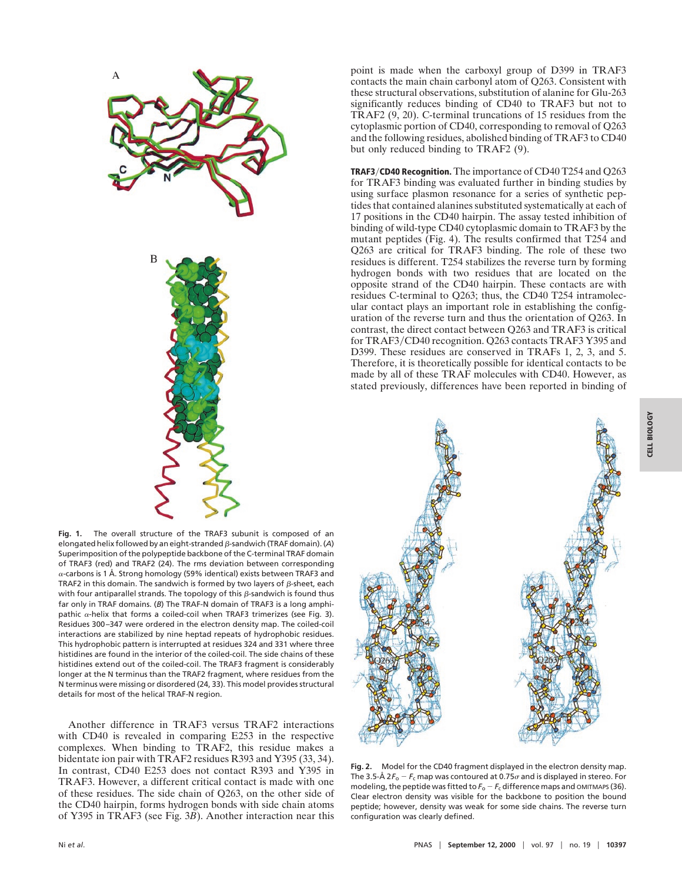

**Fig. 1.** The overall structure of the TRAF3 subunit is composed of an elongated helix followed by an eight-stranded b-sandwich (TRAF domain). (*A*) Superimposition of the polypeptide backbone of the C-terminal TRAF domain of TRAF3 (red) and TRAF2 (24). The rms deviation between corresponding  $\alpha$ -carbons is 1 Å. Strong homology (59% identical) exists between TRAF3 and TRAF2 in this domain. The sandwich is formed by two layers of  $\beta$ -sheet, each with four antiparallel strands. The topology of this  $\beta$ -sandwich is found thus far only in TRAF domains. (*B*) The TRAF-N domain of TRAF3 is a long amphipathic  $\alpha$ -helix that forms a coiled-coil when TRAF3 trimerizes (see Fig. 3). Residues 300–347 were ordered in the electron density map. The coiled-coil interactions are stabilized by nine heptad repeats of hydrophobic residues. This hydrophobic pattern is interrupted at residues 324 and 331 where three histidines are found in the interior of the coiled-coil. The side chains of these histidines extend out of the coiled-coil. The TRAF3 fragment is considerably longer at the N terminus than the TRAF2 fragment, where residues from the N terminus were missing or disordered (24, 33). This model provides structural details for most of the helical TRAF-N region.

Another difference in TRAF3 versus TRAF2 interactions with CD40 is revealed in comparing E253 in the respective complexes. When binding to TRAF2, this residue makes a bidentate ion pair with TRAF2 residues R393 and Y395 (33, 34). In contrast, CD40 E253 does not contact R393 and Y395 in TRAF3. However, a different critical contact is made with one of these residues. The side chain of Q263, on the other side of the CD40 hairpin, forms hydrogen bonds with side chain atoms of Y395 in TRAF3 (see Fig. 3*B*). Another interaction near this

point is made when the carboxyl group of D399 in TRAF3 contacts the main chain carbonyl atom of Q263. Consistent with these structural observations, substitution of alanine for Glu-263 significantly reduces binding of CD40 to TRAF3 but not to TRAF2 (9, 20). C-terminal truncations of 15 residues from the cytoplasmic portion of CD40, corresponding to removal of Q263 and the following residues, abolished binding of TRAF3 to CD40 but only reduced binding to TRAF2 (9).

**TRAF3**y**CD40 Recognition.** The importance of CD40 T254 and Q263 for TRAF3 binding was evaluated further in binding studies by using surface plasmon resonance for a series of synthetic peptides that contained alanines substituted systematically at each of 17 positions in the CD40 hairpin. The assay tested inhibition of binding of wild-type CD40 cytoplasmic domain to TRAF3 by the mutant peptides (Fig. 4). The results confirmed that T254 and Q263 are critical for TRAF3 binding. The role of these two residues is different. T254 stabilizes the reverse turn by forming hydrogen bonds with two residues that are located on the opposite strand of the CD40 hairpin. These contacts are with residues C-terminal to Q263; thus, the CD40 T254 intramolecular contact plays an important role in establishing the configuration of the reverse turn and thus the orientation of Q263. In contrast, the direct contact between Q263 and TRAF3 is critical for TRAF3/CD40 recognition. Q263 contacts TRAF3 Y395 and D399. These residues are conserved in TRAFs 1, 2, 3, and 5. Therefore, it is theoretically possible for identical contacts to be made by all of these TRAF molecules with CD40. However, as stated previously, differences have been reported in binding of



**Fig. 2.** Model for the CD40 fragment displayed in the electron density map. The 3.5-Å 2 $F_o - F_c$  map was contoured at 0.75 $\sigma$  and is displayed in stereo. For modeling, the peptide was fitted to  $F<sub>o</sub> - F<sub>c</sub>$  difference maps and OMITMAPS (36). Clear electron density was visible for the backbone to position the bound peptide; however, density was weak for some side chains. The reverse turn configuration was clearly defined.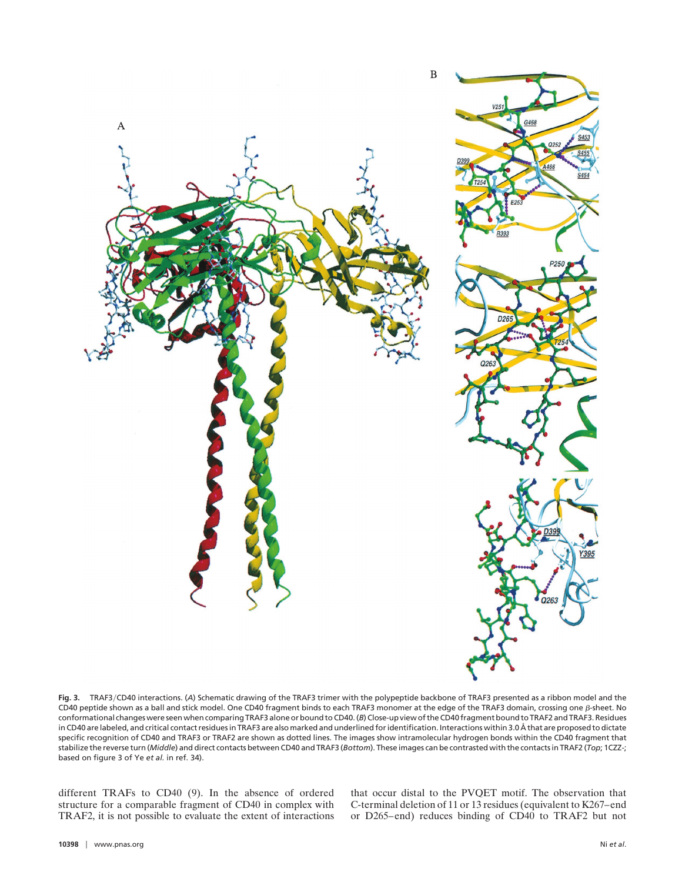

**Fig. 3.** TRAF3yCD40 interactions. (*A*) Schematic drawing of the TRAF3 trimer with the polypeptide backbone of TRAF3 presented as a ribbon model and the CD40 peptide shown as a ball and stick model. One CD40 fragment binds to each TRAF3 monomer at the edge of the TRAF3 domain, crossing one  $\beta$ -sheet. No conformational changes were seen when comparing TRAF3 alone or bound to CD40. (*B*) Close-up view of the CD40 fragment bound to TRAF2 and TRAF3. Residues in CD40 are labeled, and critical contact residues in TRAF3 are also marked and underlined for identification. Interactions within 3.0 Å that are proposed to dictate specific recognition of CD40 and TRAF3 or TRAF2 are shown as dotted lines. The images show intramolecular hydrogen bonds within the CD40 fragment that stabilize the reverse turn (*Middle*) and direct contacts between CD40 and TRAF3 (*Bottom*). These images can be contrasted with the contacts in TRAF2 (*Top*; 1CZZ-; based on figure 3 of Ye *et al.* in ref. 34).

different TRAFs to CD40 (9). In the absence of ordered structure for a comparable fragment of CD40 in complex with TRAF2, it is not possible to evaluate the extent of interactions that occur distal to the PVQET motif. The observation that C-terminal deletion of 11 or 13 residues (equivalent to K267–end or D265–end) reduces binding of CD40 to TRAF2 but not